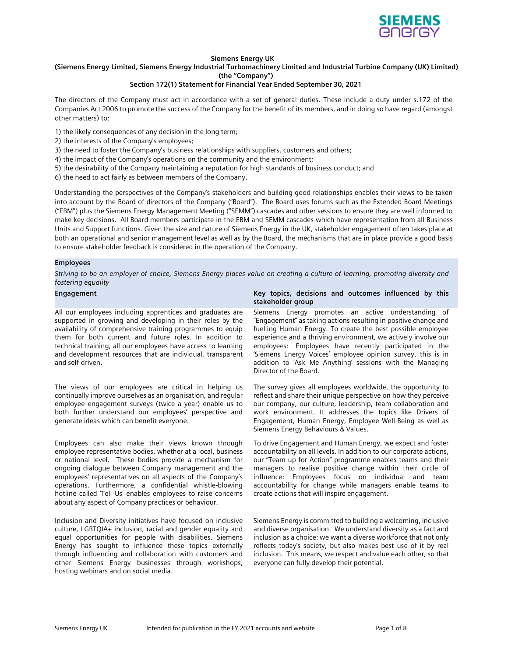

## Siemens Energy UK

# (Siemens Energy Limited, Siemens Energy Industrial Turbomachinery Limited and Industrial Turbine Company (UK) Limited)

(the "Company")

### Section 172(1) Statement for Financial Year Ended September 30, 2021

The directors of the Company must act in accordance with a set of general duties. These include a duty under s.172 of the Companies Act 2006 to promote the success of the Company for the benefit of its members, and in doing so have regard (amongst other matters) to:

- 1) the likely consequences of any decision in the long term;
- 2) the interests of the Company's employees;
- 3) the need to foster the Company's business relationships with suppliers, customers and others;
- 4) the impact of the Company's operations on the community and the environment;
- 5) the desirability of the Company maintaining a reputation for high standards of business conduct; and
- 6) the need to act fairly as between members of the Company.

Understanding the perspectives of the Company's stakeholders and building good relationships enables their views to be taken into account by the Board of directors of the Company ("Board"). The Board uses forums such as the Extended Board Meetings ("EBM") plus the Siemens Energy Management Meeting ("SEMM") cascades and other sessions to ensure they are well informed to make key decisions. All Board members participate in the EBM and SEMM cascades which have representation from all Business Units and Support functions. Given the size and nature of Siemens Energy in the UK, stakeholder engagement often takes place at both an operational and senior management level as well as by the Board, the mechanisms that are in place provide a good basis to ensure stakeholder feedback is considered in the operation of the Company.

### Employees

Striving to be an employer of choice, Siemens Energy places value on creating a culture of learning, promoting diversity and fostering equality

All our employees including apprentices and graduates are supported in growing and developing in their roles by the availability of comprehensive training programmes to equip them for both current and future roles. In addition to technical training, all our employees have access to learning and development resources that are individual, transparent and self-driven.

The views of our employees are critical in helping us continually improve ourselves as an organisation, and regular employee engagement surveys (twice a year) enable us to both further understand our employees' perspective and generate ideas which can benefit everyone.

Employees can also make their views known through employee representative bodies, whether at a local, business or national level. These bodies provide a mechanism for ongoing dialogue between Company management and the employees' representatives on all aspects of the Company's operations. Furthermore, a confidential whistle-blowing hotline called 'Tell Us' enables employees to raise concerns about any aspect of Company practices or behaviour.

Inclusion and Diversity initiatives have focused on inclusive culture, LGBTQIA+ inclusion, racial and gender equality and equal opportunities for people with disabilities. Siemens Energy has sought to influence these topics externally through influencing and collaboration with customers and other Siemens Energy businesses through workshops, hosting webinars and on social media.

### Engagement **Engagement** Christian Material Christian Material Christian Material Christian Material Christian Materia Christian Materia Christian Materia Christian Materia Christian Materia Christian Materia Christian Mate stakeholder group

Siemens Energy promotes an active understanding of "Engagement" as taking actions resulting in positive change and fuelling Human Energy. To create the best possible employee experience and a thriving environment, we actively involve our employees: Employees have recently participated in the 'Siemens Energy Voices' employee opinion survey, this is in addition to 'Ask Me Anything' sessions with the Managing Director of the Board.

The survey gives all employees worldwide, the opportunity to reflect and share their unique perspective on how they perceive our company, our culture, leadership, team collaboration and work environment. It addresses the topics like Drivers of Engagement, Human Energy, Employee Well-Being as well as Siemens Energy Behaviours & Values.

To drive Engagement and Human Energy, we expect and foster accountability on all levels. In addition to our corporate actions, our "Team up for Action" programme enables teams and their managers to realise positive change within their circle of influence: Employees focus on individual and team accountability for change while managers enable teams to create actions that will inspire engagement.

Siemens Energy is committed to building a welcoming, inclusive and diverse organisation. We understand diversity as a fact and inclusion as a choice: we want a diverse workforce that not only reflects today's society, but also makes best use of it by real inclusion. This means, we respect and value each other, so that everyone can fully develop their potential.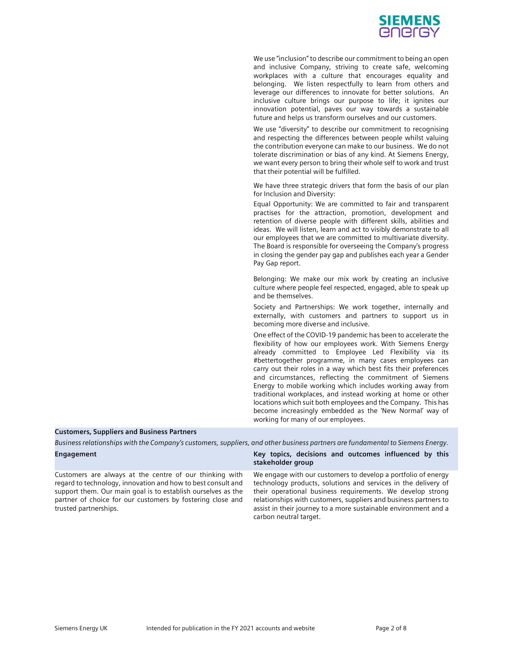

We use "inclusion" to describe our commitment to being an open and inclusive Company, striving to create safe, welcoming workplaces with a culture that encourages equality and belonging. We listen respectfully to learn from others and leverage our differences to innovate for better solutions. An inclusive culture brings our purpose to life; it ignites our innovation potential, paves our way towards a sustainable future and helps us transform ourselves and our customers.

We use "diversity" to describe our commitment to recognising and respecting the differences between people whilst valuing the contribution everyone can make to our business. We do not tolerate discrimination or bias of any kind. At Siemens Energy, we want every person to bring their whole self to work and trust that their potential will be fulfilled.

We have three strategic drivers that form the basis of our plan for Inclusion and Diversity:

Equal Opportunity: We are committed to fair and transparent practises for the attraction, promotion, development and retention of diverse people with different skills, abilities and ideas. We will listen, learn and act to visibly demonstrate to all our employees that we are committed to multivariate diversity. The Board is responsible for overseeing the Company's progress in closing the gender pay gap and publishes each year a Gender Pay Gap report.

Belonging: We make our mix work by creating an inclusive culture where people feel respected, engaged, able to speak up and be themselves.

Society and Partnerships: We work together, internally and externally, with customers and partners to support us in becoming more diverse and inclusive.

One effect of the COVID-19 pandemic has been to accelerate the flexibility of how our employees work. With Siemens Energy already committed to Employee Led Flexibility via its #bettertogether programme, in many cases employees can carry out their roles in a way which best fits their preferences and circumstances, reflecting the commitment of Siemens Energy to mobile working which includes working away from traditional workplaces, and instead working at home or other locations which suit both employees and the Company. This has become increasingly embedded as the 'New Normal' way of working for many of our employees.

### Customers, Suppliers and Business Partners

Business relationships with the Company's customers, suppliers, and other business partners are fundamental to Siemens Energy.

| Engagement                                                                                                                                                                                                                                            | Key topics, decisions and outcomes influenced by this<br>stakeholder group                                                                                                                                                                                        |
|-------------------------------------------------------------------------------------------------------------------------------------------------------------------------------------------------------------------------------------------------------|-------------------------------------------------------------------------------------------------------------------------------------------------------------------------------------------------------------------------------------------------------------------|
| Customers are always at the centre of our thinking with<br>regard to technology, innovation and how to best consult and<br>support them. Our main goal is to establish ourselves as the<br>partner of choice for our customers by fostering close and | We engage with our customers to develop a portfolio of energy<br>technology products, solutions and services in the delivery of<br>their operational business requirements. We develop strong<br>relationships with customers, suppliers and business partners to |
| trusted partnerships.                                                                                                                                                                                                                                 | assist in their journey to a more sustainable environment and a                                                                                                                                                                                                   |

carbon neutral target.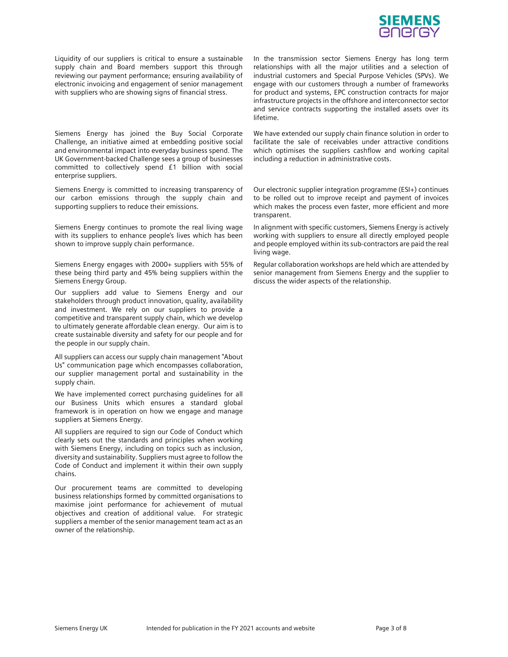

Liquidity of our suppliers is critical to ensure a sustainable supply chain and Board members support this through reviewing our payment performance; ensuring availability of electronic invoicing and engagement of senior management with suppliers who are showing signs of financial stress.

Siemens Energy has joined the Buy Social Corporate Challenge, an initiative aimed at embedding positive social and environmental impact into everyday business spend. The UK Government-backed Challenge sees a group of businesses committed to collectively spend £1 billion with social enterprise suppliers.

Siemens Energy is committed to increasing transparency of our carbon emissions through the supply chain and supporting suppliers to reduce their emissions.

Siemens Energy continues to promote the real living wage with its suppliers to enhance people's lives which has been shown to improve supply chain performance.

Siemens Energy engages with 2000+ suppliers with 55% of these being third party and 45% being suppliers within the Siemens Energy Group.

Our suppliers add value to Siemens Energy and our stakeholders through product innovation, quality, availability and investment. We rely on our suppliers to provide a competitive and transparent supply chain, which we develop to ultimately generate affordable clean energy. Our aim is to create sustainable diversity and safety for our people and for the people in our supply chain.

All suppliers can access our supply chain management "About Us" communication page which encompasses collaboration, our supplier management portal and sustainability in the supply chain.

We have implemented correct purchasing guidelines for all our Business Units which ensures a standard global framework is in operation on how we engage and manage suppliers at Siemens Energy.

All suppliers are required to sign our Code of Conduct which clearly sets out the standards and principles when working with Siemens Energy, including on topics such as inclusion, diversity and sustainability. Suppliers must agree to follow the Code of Conduct and implement it within their own supply chains.

Our procurement teams are committed to developing business relationships formed by committed organisations to maximise joint performance for achievement of mutual objectives and creation of additional value. For strategic suppliers a member of the senior management team act as an owner of the relationship.

In the transmission sector Siemens Energy has long term relationships with all the major utilities and a selection of industrial customers and Special Purpose Vehicles (SPVs). We engage with our customers through a number of frameworks for product and systems, EPC construction contracts for major infrastructure projects in the offshore and interconnector sector and service contracts supporting the installed assets over its lifetime.

We have extended our supply chain finance solution in order to facilitate the sale of receivables under attractive conditions which optimises the suppliers cashflow and working capital including a reduction in administrative costs.

Our electronic supplier integration programme (ESI+) continues to be rolled out to improve receipt and payment of invoices which makes the process even faster, more efficient and more transparent.

In alignment with specific customers, Siemens Energy is actively working with suppliers to ensure all directly employed people and people employed within its sub-contractors are paid the real living wage.

Regular collaboration workshops are held which are attended by senior management from Siemens Energy and the supplier to discuss the wider aspects of the relationship.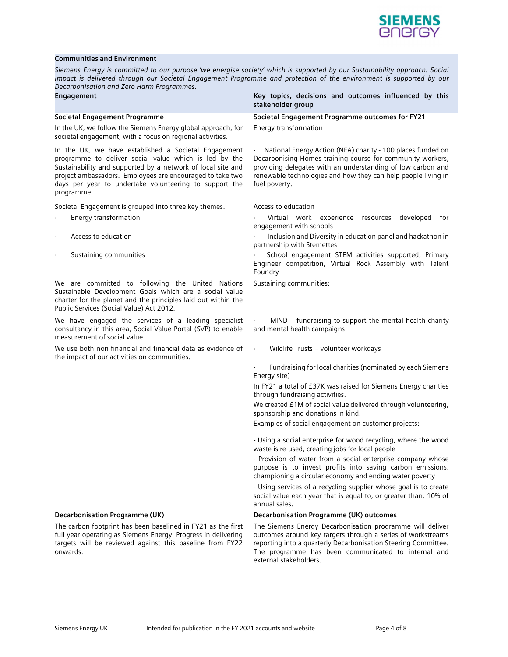

### Communities and Environment

Siemens Energy is committed to our purpose 'we energise society' which is supported by our Sustainability approach. Social Impact is delivered through our Societal Engagement Programme and protection of the environment is supported by our Decarbonisation and Zero Harm Programmes.

In the UK, we follow the Siemens Energy global approach, for societal engagement, with a focus on regional activities.

In the UK, we have established a Societal Engagement programme to deliver social value which is led by the Sustainability and supported by a network of local site and project ambassadors. Employees are encouraged to take two days per year to undertake volunteering to support the programme.

- 
- 
- 

We are committed to following the United Nations Sustainable Development Goals which are a social value charter for the planet and the principles laid out within the Public Services (Social Value) Act 2012.

consultancy in this area, Social Value Portal (SVP) to enable We have engaged the services of a leading specialist · MIND – fundraising to support the mental health charity<br>consultancy in this area, Social Value Portal (SVP) to enable and mental health campaigns<br>measurement of s

We use both non-financial and financial data as evidence of Theor Wildlife Trusts - volunteer workdays

The carbon footprint has been baselined in FY21 as the first full year operating as Siemens Energy. Progress in delivering targets will be reviewed against this baseline from FY22 onwards.

Engagement **Engagement** Christian Material Christian Material Christian Material Christian Material Christian Materia Christian Materia Christian Materia Christian Materia Christian Materia Christian Materia Christian Mate stakeholder group

Societal Engagement Programme Societal Engagement Programme outcomes for FY21 Energy transformation

> National Energy Action (NEA) charity - 100 places funded on Decarbonising Homes training course for community workers, providing delegates with an understanding of low carbon and renewable technologies and how they can help people living in fuel poverty.

Societal Engagement is grouped into three key themes. Access to education **and include the control of the contro**<br>Figures of the virtual work experience resources developed for virtual work experience resources developed f engagement with schools<br>Access to education · **Inclusion and Diversity in education panel and hackathon in** 

partnership with Stemettes<br>Sustaining communities · Sustaining communities · Sustaining communities in the supported; Primary<br>School engagement STEM activities supported; Primary

Engineer competition, Virtual Rock Assembly with Talent Foundry

Sustaining communities:

We have engaged the services of a leading specialist  $\cdot$  MIND – fundraising to support the mental health charity and mental health campaigns

the impact of our activities on communities.<br>Fundraising for local charities (nominated by each Siemens <sup>·</sup> Fundraising for local charities (nominated by each Siemens Energy site)

> In FY21 a total of £37K was raised for Siemens Energy charities through fundraising activities.

> We created £1M of social value delivered through volunteering, sponsorship and donations in kind.

Examples of social engagement on customer projects:

- Using a social enterprise for wood recycling, where the wood waste is re-used, creating jobs for local people<br>- Provision of water from a social enterprise company whose

purpose is to invest profits into saving carbon emissions, championing a circular economy and ending water poverty - Using services of a recycling supplier whose goal is to create

social value each year that is equal to, or greater than, 10% of annual sales.

### Decarbonisation Programme (UK) Decarbonisation Programme (UK) outcomes

The Siemens Energy Decarbonisation programme will deliver outcomes around key targets through a series of workstreams reporting into a quarterly Decarbonisation Steering Committee. The programme has been communicated to internal and external stakeholders.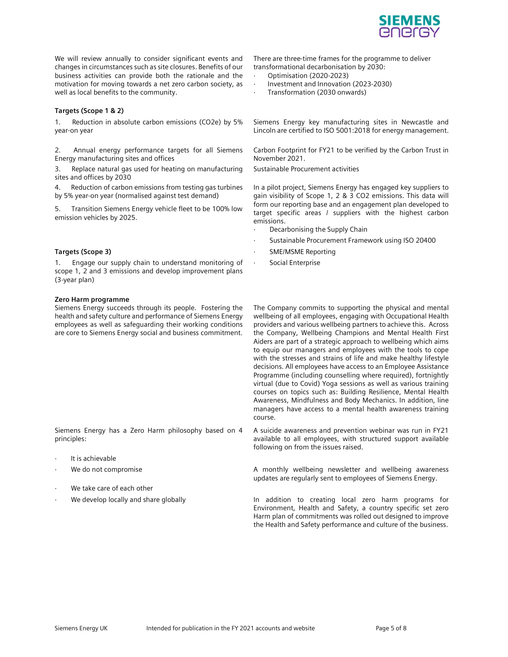

We will review annually to consider significant events and changes in circumstances such as site closures. Benefits of our business activities can provide both the rationale and the motivation for moving towards a net zero carbon society, as well as local benefits to the community.

# Targets (Scope 1 & 2)

Reduction in absolute carbon emissions (CO2e) by 5% year-on year

2. Annual energy performance targets for all Siemens Energy manufacturing sites and offices

3. Replace natural gas used for heating on manufacturing sites and offices by 2030

4. Reduction of carbon emissions from testing gas turbines by 5% year-on year (normalised against test demand)

5. Transition Siemens Energy vehicle fleet to be 100% low emission vehicles by 2025.

Engage our supply chain to understand monitoring of Theorial Enterprise scope 1, 2 and 3 emissions and develop improvement plans 1. Engage our supply chain to understand monitoring of Social Enterprise<br>scope 1, 2 and 3 emissions and develop improvement plans<br>(3-year plan)

## Zero Harm programme

Siemens Energy succeeds through its people. Fostering the health and safety culture and performance of Siemens Energy employees as well as safeguarding their working conditions are core to Siemens Energy social and business commitment.

Siemens Energy has a Zero Harm philosophy based on 4 principles:

- It is achievable
- 
- 
- 

There are three-time frames for the programme to deliver transformational decarbonisation by 2030:

- Optimisation (2020-2023)
- · Investment and Innovation (2023-2030)
- Transformation (2030 onwards)

Siemens Energy key manufacturing sites in Newcastle and Lincoln are certified to ISO 5001:2018 for energy management.

Carbon Footprint for FY21 to be verified by the Carbon Trust in November 2021.

Sustainable Procurement activities

In a pilot project, Siemens Energy has engaged key suppliers to gain visibility of Scope 1, 2 & 3 CO2 emissions. This data will form our reporting base and an engagement plan developed to target specific areas / suppliers with the highest carbon emissions.

- Decarbonising the Supply Chain
- Sustainable Procurement Framework using ISO 20400
- Targets (Scope 3) **Targets (Scope 3) SME/MSME Reporting** 
	-

The Company commits to supporting the physical and mental wellbeing of all employees, engaging with Occupational Health providers and various wellbeing partners to achieve this. Across the Company, Wellbeing Champions and Mental Health First Aiders are part of a strategic approach to wellbeing which aims to equip our managers and employees with the tools to cope with the stresses and strains of life and make healthy lifestyle decisions. All employees have access to an Employee Assistance Programme (including counselling where required), fortnightly virtual (due to Covid) Yoga sessions as well as various training courses on topics such as: Building Resilience, Mental Health Awareness, Mindfulness and Body Mechanics. In addition, line managers have access to a mental health awareness training course.

A suicide awareness and prevention webinar was run in FY21 available to all employees, with structured support available following on from the issues raised.

We do not compromise **A** monthly wellbeing newsletter and wellbeing awareness updates are regularly sent to employees of Siemens Energy.

We take care of each other *inclusion* we take care of each other we take care of each other we develop locally in addition to creating local zero harm programs for vertical well and the develop local zero harm programs fo Environment, Health and Safety, a country specific set zero Harm plan of commitments was rolled out designed to improve the Health and Safety performance and culture of the business.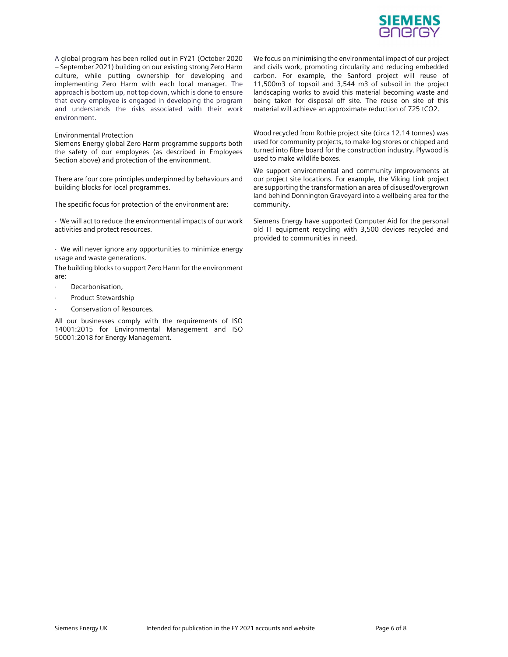

A global program has been rolled out in FY21 (October 2020 – September 2021) building on our existing strong Zero Harm culture, while putting ownership for developing and implementing Zero Harm with each local manager. The approach is bottom up, not top down, which is done to ensure that every employee is engaged in developing the program and understands the risks associated with their work environment.

### Environmental Protection

Siemens Energy global Zero Harm programme supports both the safety of our employees (as described in Employees Section above) and protection of the environment.

There are four core principles underpinned by behaviours and building blocks for local programmes.

The specific focus for protection of the environment are:

· We will act to reduce the environmental impacts of our work activities and protect resources.

· We will never ignore any opportunities to minimize energy usage and waste generations.

The building blocks to support Zero Harm for the environment are:

- Decarbonisation,
- Product Stewardship
- Conservation of Resources.

All our businesses comply with the requirements of ISO 14001:2015 for Environmental Management and ISO 50001:2018 for Energy Management.

We focus on minimising the environmental impact of our project and civils work, promoting circularity and reducing embedded carbon. For example, the Sanford project will reuse of 11,500m3 of topsoil and 3,544 m3 of subsoil in the project landscaping works to avoid this material becoming waste and being taken for disposal off site. The reuse on site of this material will achieve an approximate reduction of 725 tCO2.

Wood recycled from Rothie project site (circa 12.14 tonnes) was used for community projects, to make log stores or chipped and turned into fibre board for the construction industry. Plywood is used to make wildlife boxes.

We support environmental and community improvements at our project site locations. For example, the Viking Link project are supporting the transformation an area of disused/overgrown land behind Donnington Graveyard into a wellbeing area for the community.

Siemens Energy have supported Computer Aid for the personal old IT equipment recycling with 3,500 devices recycled and provided to communities in need.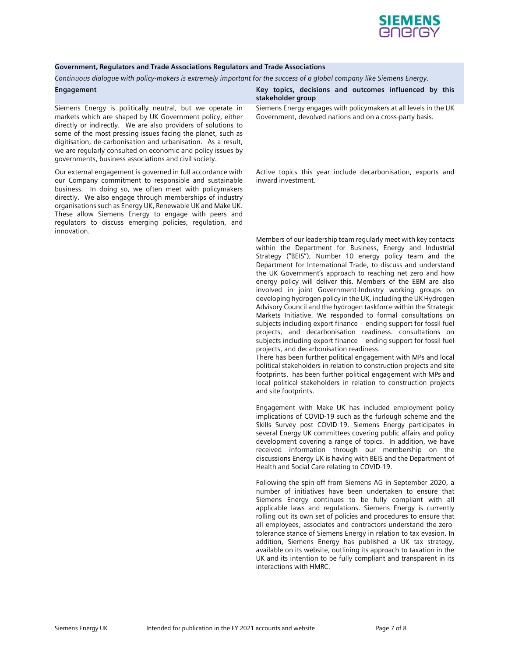

### Government, Regulators and Trade Associations Regulators and Trade Associations

Continuous dialogue with policy-makers is extremely important for the success of a global company like Siemens Energy.

Siemens Energy is politically neutral, but we operate in markets which are shaped by UK Government policy, either directly or indirectly. We are also providers of solutions to some of the most pressing issues facing the planet, such as digitisation, de-carbonisation and urbanisation. As a result, we are regularly consulted on economic and policy issues by governments, business associations and civil society.

Our external engagement is governed in full accordance with our Company commitment to responsible and sustainable business. In doing so, we often meet with policymakers directly. We also engage through memberships of industry organisations such as Energy UK, Renewable UK and Make UK. These allow Siemens Energy to engage with peers and regulators to discuss emerging policies, regulation, and innovation.

Engagement Key topics, decisions and outcomes influenced by this stakeholder group

> Siemens Energy engages with policymakers at all levels in the UK Government, devolved nations and on a cross-party basis.

> Active topics this year include decarbonisation, exports and inward investment.

> Members of our leadership team regularly meet with key contacts within the Department for Business, Energy and Industrial Strategy ("BEIS"), Number 10 energy policy team and the Department for International Trade, to discuss and understand the UK Government's approach to reaching net zero and how energy policy will deliver this. Members of the EBM are also involved in joint Government-Industry working groups on developing hydrogen policy in the UK, including the UK Hydrogen Advisory Council and the hydrogen taskforce within the Strategic Markets Initiative. We responded to formal consultations on subjects including export finance – ending support for fossil fuel projects, and decarbonisation readiness. consultations on subjects including export finance – ending support for fossil fuel projects, and decarbonisation readiness.

> There has been further political engagement with MPs and local political stakeholders in relation to construction projects and site footprints. has been further political engagement with MPs and local political stakeholders in relation to construction projects and site footprints.

> Engagement with Make UK has included employment policy implications of COVID-19 such as the furlough scheme and the Skills Survey post COVID-19. Siemens Energy participates in several Energy UK committees covering public affairs and policy development covering a range of topics. In addition, we have received information through our membership on the discussions Energy UK is having with BEIS and the Department of Health and Social Care relating to COVID-19.

> Following the spin-off from Siemens AG in September 2020, a number of initiatives have been undertaken to ensure that Siemens Energy continues to be fully compliant with all applicable laws and regulations. Siemens Energy is currently rolling out its own set of policies and procedures to ensure that all employees, associates and contractors understand the zerotolerance stance of Siemens Energy in relation to tax evasion. In addition, Siemens Energy has published a UK tax strategy, available on its website, outlining its approach to taxation in the UK and its intention to be fully compliant and transparent in its interactions with HMRC.